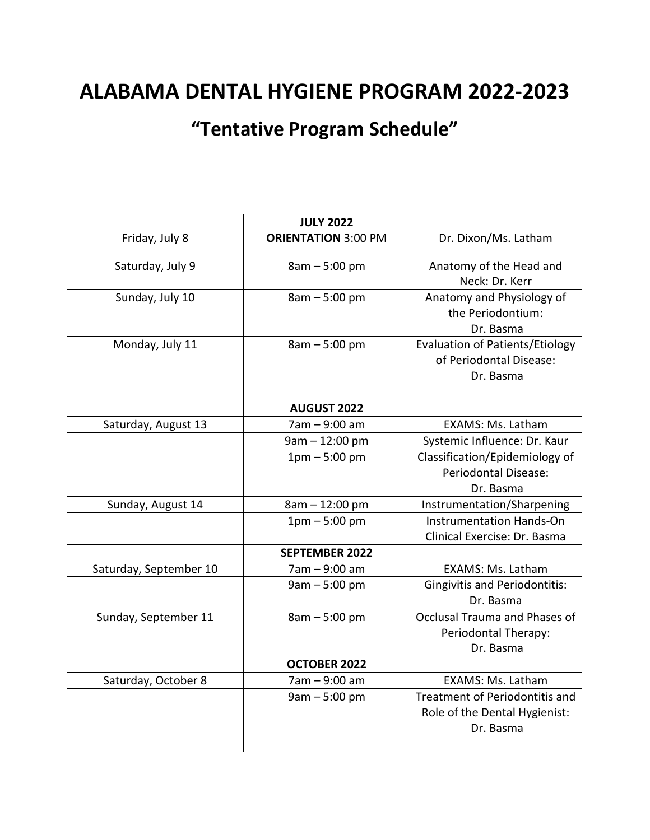## **ALABAMA DENTAL HYGIENE PROGRAM 2022-2023**

**"Tentative Program Schedule"**

|                        | <b>JULY 2022</b>           |                                        |
|------------------------|----------------------------|----------------------------------------|
| Friday, July 8         | <b>ORIENTATION 3:00 PM</b> | Dr. Dixon/Ms. Latham                   |
| Saturday, July 9       | $8am - 5:00 pm$            | Anatomy of the Head and                |
|                        |                            | Neck: Dr. Kerr                         |
| Sunday, July 10        | $8am - 5:00 pm$            | Anatomy and Physiology of              |
|                        |                            | the Periodontium:                      |
|                        |                            | Dr. Basma                              |
| Monday, July 11        | $8am - 5:00 pm$            | <b>Evaluation of Patients/Etiology</b> |
|                        |                            | of Periodontal Disease:                |
|                        |                            | Dr. Basma                              |
|                        | <b>AUGUST 2022</b>         |                                        |
| Saturday, August 13    | 7am - 9:00 am              | <b>EXAMS: Ms. Latham</b>               |
|                        | $9am - 12:00 pm$           | Systemic Influence: Dr. Kaur           |
|                        | $1pm - 5:00pm$             | Classification/Epidemiology of         |
|                        |                            | <b>Periodontal Disease:</b>            |
|                        |                            | Dr. Basma                              |
| Sunday, August 14      | 8am - 12:00 pm             | Instrumentation/Sharpening             |
|                        | $1pm - 5:00pm$             | <b>Instrumentation Hands-On</b>        |
|                        |                            | Clinical Exercise: Dr. Basma           |
|                        | <b>SEPTEMBER 2022</b>      |                                        |
| Saturday, September 10 | 7am - 9:00 am              | <b>EXAMS: Ms. Latham</b>               |
|                        | $9am - 5:00 pm$            | <b>Gingivitis and Periodontitis:</b>   |
|                        |                            | Dr. Basma                              |
| Sunday, September 11   | $8am - 5:00 pm$            | Occlusal Trauma and Phases of          |
|                        |                            | Periodontal Therapy:                   |
|                        |                            | Dr. Basma                              |
|                        | <b>OCTOBER 2022</b>        |                                        |
| Saturday, October 8    | 7am - 9:00 am              | EXAMS: Ms. Latham                      |
|                        | $9am - 5:00 pm$            | Treatment of Periodontitis and         |
|                        |                            | Role of the Dental Hygienist:          |
|                        |                            | Dr. Basma                              |
|                        |                            |                                        |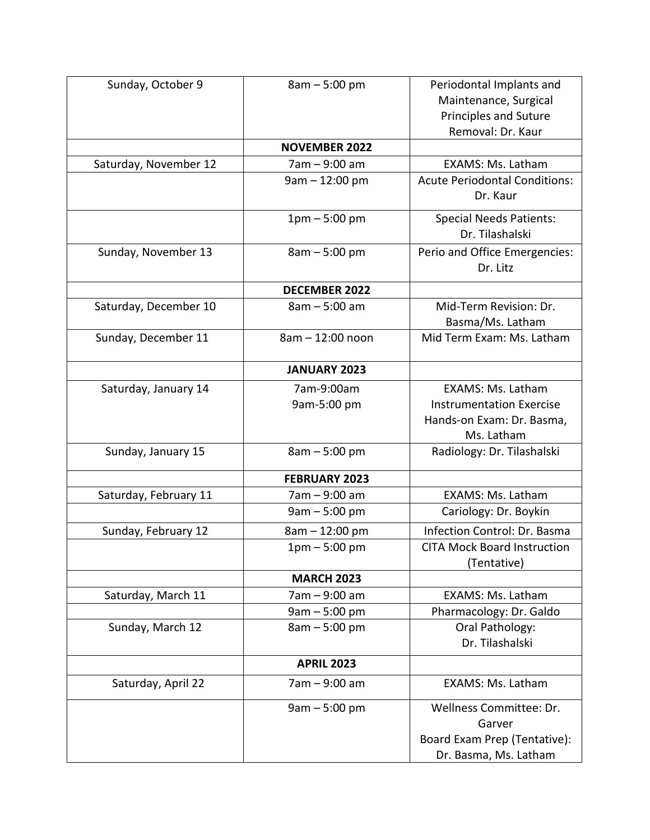| Sunday, October 9     | $8am - 5:00 pm$      | Periodontal Implants and             |
|-----------------------|----------------------|--------------------------------------|
|                       |                      | Maintenance, Surgical                |
|                       |                      | <b>Principles and Suture</b>         |
|                       |                      | Removal: Dr. Kaur                    |
|                       | <b>NOVEMBER 2022</b> |                                      |
| Saturday, November 12 | 7am - 9:00 am        | EXAMS: Ms. Latham                    |
|                       | $9am - 12:00 pm$     | <b>Acute Periodontal Conditions:</b> |
|                       |                      | Dr. Kaur                             |
|                       | $1pm - 5:00 pm$      | <b>Special Needs Patients:</b>       |
|                       |                      | Dr. Tilashalski                      |
| Sunday, November 13   | $8am - 5:00 pm$      | Perio and Office Emergencies:        |
|                       |                      | Dr. Litz                             |
|                       | <b>DECEMBER 2022</b> |                                      |
| Saturday, December 10 | 8am - 5:00 am        | Mid-Term Revision: Dr.               |
|                       |                      | Basma/Ms. Latham                     |
| Sunday, December 11   | 8am - 12:00 noon     | Mid Term Exam: Ms. Latham            |
|                       | <b>JANUARY 2023</b>  |                                      |
| Saturday, January 14  | 7am-9:00am           | EXAMS: Ms. Latham                    |
|                       | 9am-5:00 pm          | <b>Instrumentation Exercise</b>      |
|                       |                      | Hands-on Exam: Dr. Basma,            |
|                       |                      | Ms. Latham                           |
| Sunday, January 15    | 8am - 5:00 pm        | Radiology: Dr. Tilashalski           |
|                       | <b>FEBRUARY 2023</b> |                                      |
| Saturday, February 11 | 7am - 9:00 am        | EXAMS: Ms. Latham                    |
|                       | $9am - 5:00 pm$      | Cariology: Dr. Boykin                |
| Sunday, February 12   | 8am - 12:00 pm       | Infection Control: Dr. Basma         |
|                       | $1pm - 5:00pm$       | <b>CITA Mock Board Instruction</b>   |
|                       |                      | (Tentative)                          |
|                       | <b>MARCH 2023</b>    |                                      |
| Saturday, March 11    | 7am - 9:00 am        | EXAMS: Ms. Latham                    |
|                       | $9am - 5:00 pm$      | Pharmacology: Dr. Galdo              |
| Sunday, March 12      | $8am - 5:00 pm$      | Oral Pathology:                      |
|                       |                      | Dr. Tilashalski                      |
|                       | <b>APRIL 2023</b>    |                                      |
| Saturday, April 22    | 7am - 9:00 am        | EXAMS: Ms. Latham                    |
|                       | $9am - 5:00 pm$      | Wellness Committee: Dr.              |
|                       |                      | Garver                               |
|                       |                      | Board Exam Prep (Tentative):         |
|                       |                      | Dr. Basma, Ms. Latham                |